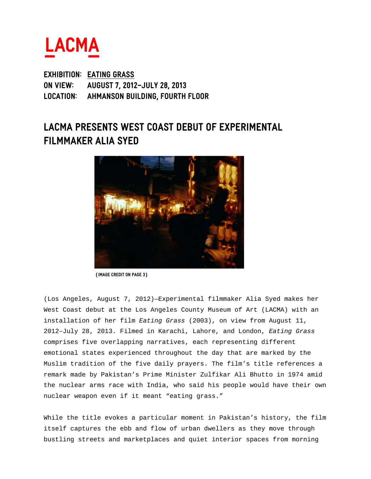

**EXHIBITION: Eating grass ON VIEW: August 7, 2012–July 28, 2013 LOCATION: Ahmanson Building, Fourth Floor** 

# **LACMA PRESENTS West Coast debut of experimental filmmaker alia syed**



 **(Image credit on Page 3)** 

(Los Angeles, August 7, 2012)—Experimental filmmaker Alia Syed makes her West Coast debut at the Los Angeles County Museum of Art (LACMA) with an installation of her film Eating Grass (2003), on view from August 11, 2012–July 28, 2013. Filmed in Karachi, Lahore, and London, Eating Grass comprises five overlapping narratives, each representing different emotional states experienced throughout the day that are marked by the Muslim tradition of the five daily prayers. The film's title references a remark made by Pakistan's Prime Minister Zulfikar Ali Bhutto in 1974 amid the nuclear arms race with India, who said his people would have their own nuclear weapon even if it meant "eating grass."

While the title evokes a particular moment in Pakistan's history, the film itself captures the ebb and flow of urban dwellers as they move through bustling streets and marketplaces and quiet interior spaces from morning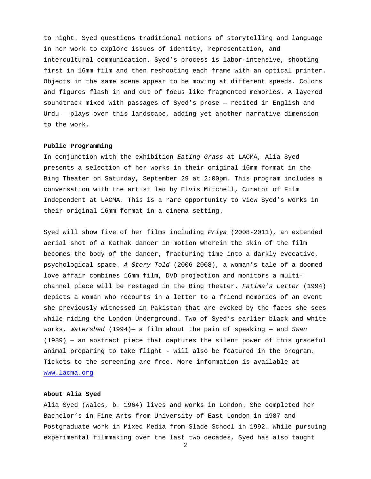to night. Syed questions traditional notions of storytelling and language in her work to explore issues of identity, representation, and intercultural communication. Syed's process is labor-intensive, shooting first in 16mm film and then reshooting each frame with an optical printer. Objects in the same scene appear to be moving at different speeds. Colors and figures flash in and out of focus like fragmented memories. A layered soundtrack mixed with passages of Syed's prose — recited in English and Urdu — plays over this landscape, adding yet another narrative dimension to the work.

# **Public Programming**

In conjunction with the exhibition Eating Grass at LACMA, Alia Syed presents a selection of her works in their original 16mm format in the Bing Theater on Saturday, September 29 at 2:00pm. This program includes a conversation with the artist led by Elvis Mitchell, Curator of Film Independent at LACMA. This is a rare opportunity to view Syed's works in their original 16mm format in a cinema setting.

Syed will show five of her films including Priya (2008-2011), an extended aerial shot of a Kathak dancer in motion wherein the skin of the film becomes the body of the dancer, fracturing time into a darkly evocative, psychological space. A Story Told (2006-2008), a woman's tale of a doomed love affair combines 16mm film, DVD projection and monitors a multichannel piece will be restaged in the Bing Theater. Fatima's Letter (1994) depicts a woman who recounts in a letter to a friend memories of an event she previously witnessed in Pakistan that are evoked by the faces she sees while riding the London Underground. Two of Syed's earlier black and white works, Watershed  $(1994)$  a film about the pain of speaking  $-$  and Swan (1989) — an abstract piece that captures the silent power of this graceful animal preparing to take flight - will also be featured in the program. Tickets to the screening are free. More information is available at www.lacma.org

### **About Alia Syed**

Alia Syed (Wales, b. 1964) lives and works in London. She completed her Bachelor's in Fine Arts from University of East London in 1987 and Postgraduate work in Mixed Media from Slade School in 1992. While pursuing experimental filmmaking over the last two decades, Syed has also taught